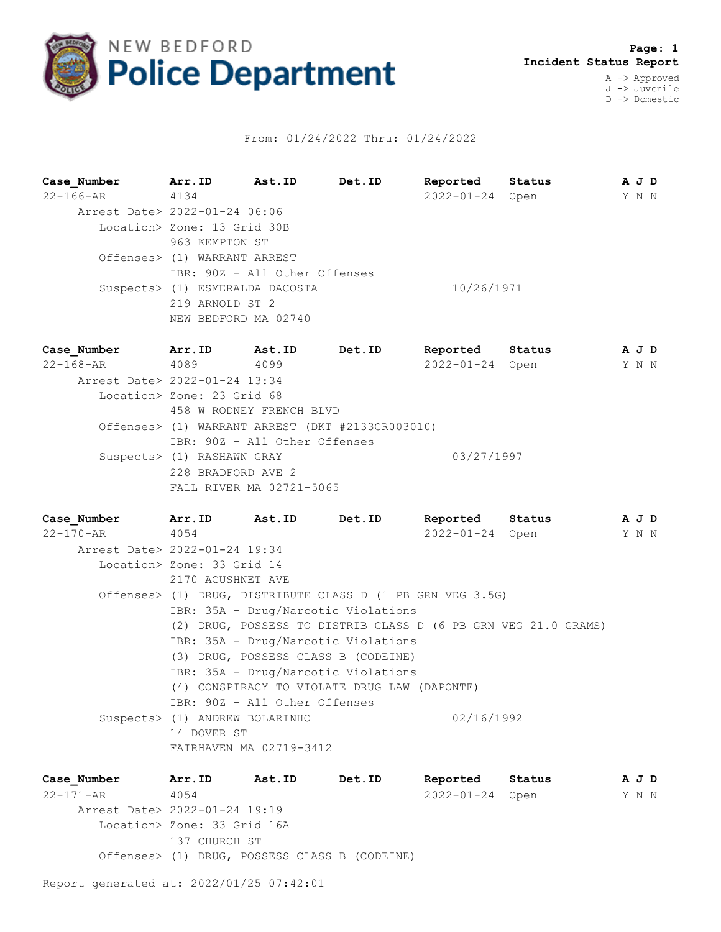

## From: 01/24/2022 Thru: 01/24/2022

**Case\_Number Arr.ID Ast.ID Det.ID Reported Status A J D** 22-166-AR 4134 2022-01-24 Open Y N N Arrest Date> 2022-01-24 06:06 Location> Zone: 13 Grid 30B 963 KEMPTON ST Offenses> (1) WARRANT ARREST IBR: 90Z - All Other Offenses Suspects> (1) ESMERALDA DACOSTA 10/26/1971 219 ARNOLD ST 2 NEW BEDFORD MA 02740

**Case\_Number Arr.ID Ast.ID Det.ID Reported Status A J D** 22-168-AR 4089 4099 2022-01-24 Open Y N N Arrest Date> 2022-01-24 13:34 Location> Zone: 23 Grid 68 458 W RODNEY FRENCH BLVD Offenses> (1) WARRANT ARREST (DKT #2133CR003010) IBR: 90Z - All Other Offenses Suspects> (1) RASHAWN GRAY 03/27/1997 228 BRADFORD AVE 2 FALL RIVER MA 02721-5065

**Case\_Number Arr.ID Ast.ID Det.ID Reported Status A J D** 22-170-AR 4054 2022-01-24 Open Y N N Arrest Date> 2022-01-24 19:34 Location> Zone: 33 Grid 14 2170 ACUSHNET AVE Offenses> (1) DRUG, DISTRIBUTE CLASS D (1 PB GRN VEG 3.5G) IBR: 35A - Drug/Narcotic Violations (2) DRUG, POSSESS TO DISTRIB CLASS D (6 PB GRN VEG 21.0 GRAMS) IBR: 35A - Drug/Narcotic Violations (3) DRUG, POSSESS CLASS B (CODEINE) IBR: 35A - Drug/Narcotic Violations (4) CONSPIRACY TO VIOLATE DRUG LAW (DAPONTE) IBR: 90Z - All Other Offenses Suspects> (1) ANDREW BOLARINHO 02/16/1992 14 DOVER ST FAIRHAVEN MA 02719-3412

**Case\_Number Arr.ID Ast.ID Det.ID Reported Status A J D** 22-171-AR 4054 2022-01-24 Open Y N N Arrest Date> 2022-01-24 19:19 Location> Zone: 33 Grid 16A 137 CHURCH ST Offenses> (1) DRUG, POSSESS CLASS B (CODEINE)